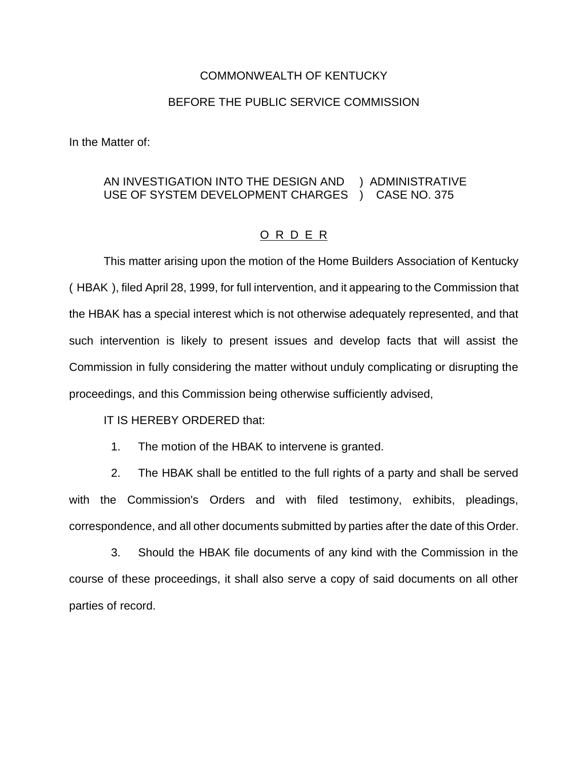## COMMONWEALTH OF KENTUCKY

## BEFORE THE PUBLIC SERVICE COMMISSION

In the Matter of:

## AN INVESTIGATION INTO THE DESIGN AND ) ADMINISTRATIVE USE OF SYSTEM DEVELOPMENT CHARGES ) CASE NO. 375

## O R D E R

This matter arising upon the motion of the Home Builders Association of Kentucky ( HBAK ), filed April 28, 1999, for full intervention, and it appearing to the Commission that the HBAK has a special interest which is not otherwise adequately represented, and that such intervention is likely to present issues and develop facts that will assist the Commission in fully considering the matter without unduly complicating or disrupting the proceedings, and this Commission being otherwise sufficiently advised,

IT IS HEREBY ORDERED that:

1. The motion of the HBAK to intervene is granted.

2. The HBAK shall be entitled to the full rights of a party and shall be served with the Commission's Orders and with filed testimony, exhibits, pleadings, correspondence, and all other documents submitted by parties after the date of this Order.

3. Should the HBAK file documents of any kind with the Commission in the course of these proceedings, it shall also serve a copy of said documents on all other parties of record.